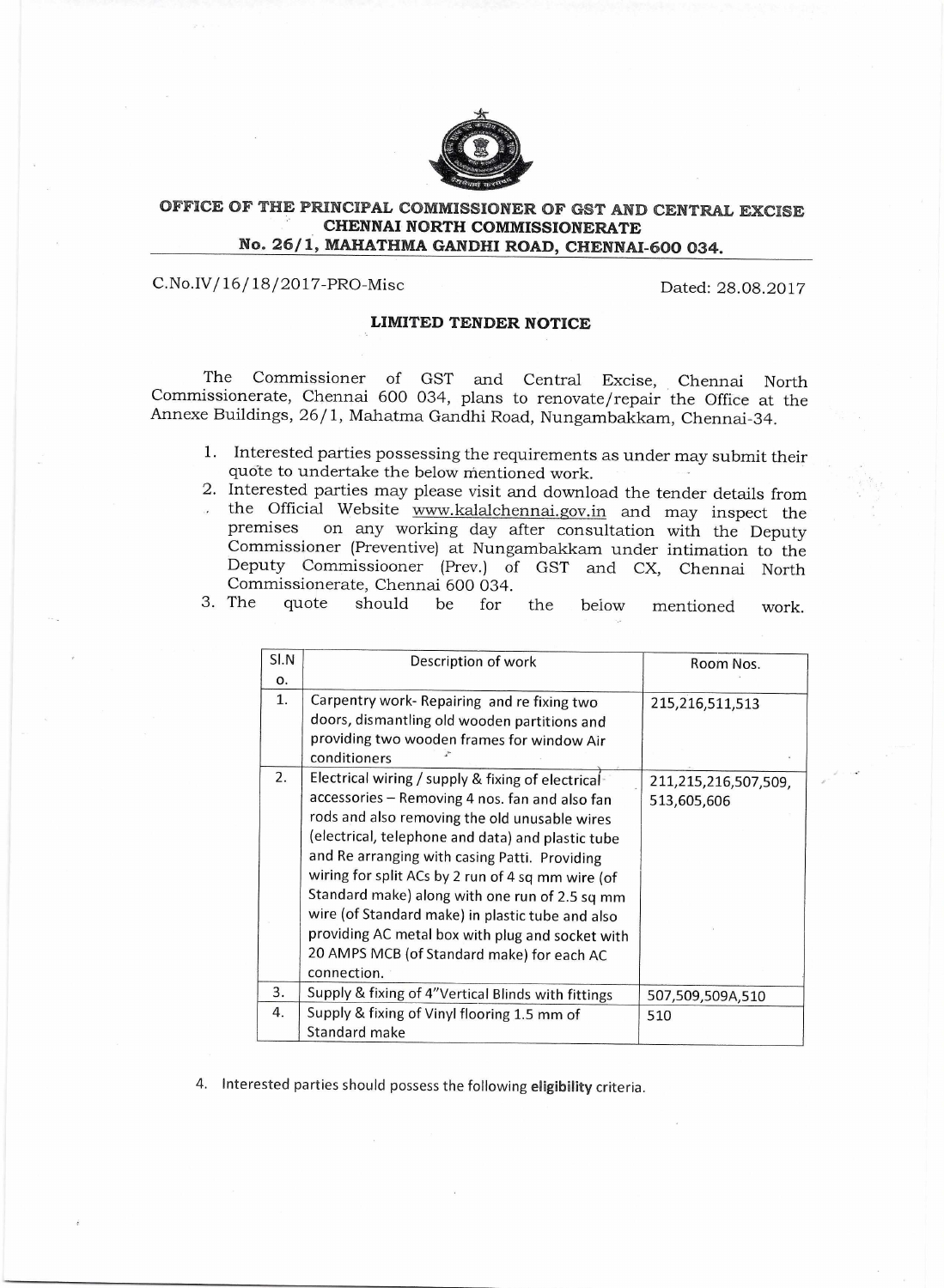

## **OFFICE OF THE PRINCIPAL COMMISSIONER OF GST AND CENTRAL EXCISE CHENNAI NORTH COMMISSIONERATE No. 26/1, MAHATHMA GANDHI ROAD, CHENNAI-600 034.**

## C.No.IV/16/ 18/ 2017-PRO-Misc Dated: 28.08.2017

## **LIMITED TENDER NOTICE**

The Commissioner of GST and Central Excise, Chennai North Commissionerate, Chennai 600 034, plans to renovate/repair the Office at the Annexe Buildings, 26/1, Mahatma Gandhi Road, Nungambakkam, Chennai-34.

- 1. Interested parties possessing the requirements as under may submit their quote to undertake the below mentioned work.
- 2. Interested parties may please visit and download the tender details from<br>the Official Website www.kalalchennaj gov in and may inspect the the Official Website www.kalalchennai.gov.in and may inspect the premises on any working day after consultation with the Deputy on any working day after consultation with the Deputy Commissioner (Preventive) at Nungambakkam under intimation to the Deputy Commissiooner (Prev.) of GST and CX, Chennai North Commissionerate, Chennai 600 034.<br>3. The quote should be for

| SI.N | Description of work                                | Room Nos.            |
|------|----------------------------------------------------|----------------------|
| о.   |                                                    |                      |
| 1.   | Carpentry work- Repairing and re fixing two        | 215,216,511,513      |
|      | doors, dismantling old wooden partitions and       |                      |
|      | providing two wooden frames for window Air         |                      |
|      | conditioners                                       |                      |
| 2.   | Electrical wiring / supply & fixing of electrical- | 211,215,216,507,509, |
|      | accessories - Removing 4 nos. fan and also fan     | 513,605,606          |
|      | rods and also removing the old unusable wires      |                      |
|      | (electrical, telephone and data) and plastic tube  |                      |
|      | and Re arranging with casing Patti. Providing      |                      |
|      | wiring for split ACs by 2 run of 4 sq mm wire (of  |                      |
|      | Standard make) along with one run of 2.5 sq mm     |                      |
|      | wire (of Standard make) in plastic tube and also   |                      |
|      | providing AC metal box with plug and socket with   |                      |
|      | 20 AMPS MCB (of Standard make) for each AC         |                      |
|      | connection.                                        |                      |
| 3.   | Supply & fixing of 4"Vertical Blinds with fittings | 507,509,509A,510     |
| 4.   | Supply & fixing of Vinyl flooring 1.5 mm of        | 510                  |
|      | Standard make                                      |                      |

3. The quote should be for the below mentioned work.

4. **Interested** parties should possess the following **eligibility** criteria.